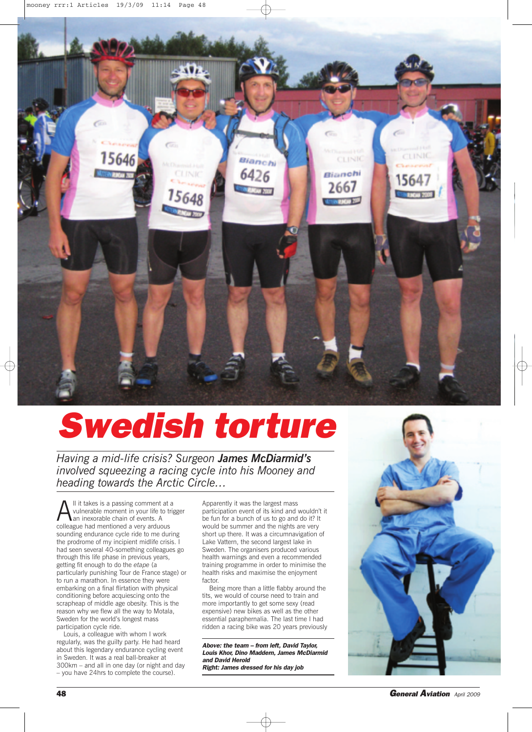

## *Swedish torture*

*Having a mid-life crisis? Surgeon James McDiarmid's involved squeezing a racing cycle into his Mooney and heading towards the Arctic Circle…*

 $\sum$ ll it takes is a passing comment at a<br>vulnerable moment in your life to tri<br>colleague had mentioned a very arduous vulnerable moment in your life to trigger an inexorable chain of events. A colleague had mentioned a very arduous sounding endurance cycle ride to me during the prodrome of my incipient midlife crisis. had seen several 40-something colleagues go through this life phase in previous years, getting fit enough to do the *etape* (a particularly punishing Tour de France stage) or to run a marathon. In essence they were embarking on a final flirtation with physical conditioning before acquiescing onto the scrapheap of middle age obesity. This is the reason why we flew all the way to Motala, Sweden for the world's longest mass participation cycle ride.

Louis, a colleague with whom I work regularly, was the guilty party. He had heard about this legendary endurance cycling event in Sweden. It was a real ball-breaker at 300km – and all in one day (or night and day – you have 24hrs to complete the course).

Apparently it was the largest mass participation event of its kind and wouldn't it be fun for a bunch of us to go and do it? It would be summer and the nights are very short up there. It was a circumnavigation of Lake Vattern, the second largest lake in Sweden. The organisers produced various health warnings and even a recommended training programme in order to minimise the health risks and maximise the enjoyment factor.

Being more than a little flabby around the tits, we would of course need to train and more importantly to get some sexy (read expensive) new bikes as well as the other essential paraphernalia. The last time I had ridden a racing bike was 20 years previously

*Above: the team – from left, David Taylor, Louis Khor, Dino Maddern, James McDiarmid and David Herold Right: James dressed for his day job*



**48** *General Aviation April <sup>2009</sup>*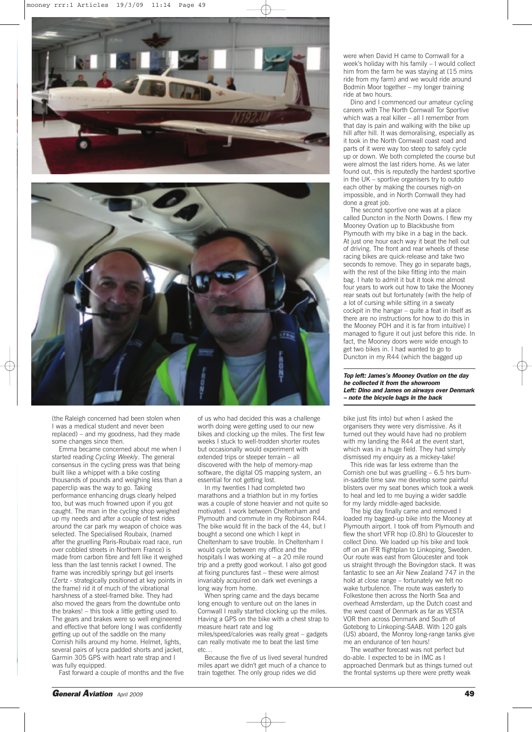



(the Raleigh concerned had been stolen when I was a medical student and never been replaced) – and my goodness, had they made some changes since then.

Emma became concerned about me when I started reading *Cycling Weekly*. The general consensus in the cycling press was that being built like a whippet with a bike costing thousands of pounds and weighing less than a paperclip was the way to go. Taking performance enhancing drugs clearly helped too, but was much frowned upon if you got caught. The man in the cycling shop weighed up my needs and after a couple of test rides around the car park my weapon of choice was selected. The Specialised Roubaix, (named after the gruelling Paris-Roubaix road race, run over cobbled streets in Northern France) is made from carbon fibre and felt like it weighed less than the last tennis racket I owned. The frame was incredibly springy but gel inserts (Zertz - strategically positioned at key points in the frame) rid it of much of the vibrational harshness of a steel-framed bike. They had also moved the gears from the downtube onto the brakes! – this took a little getting used to. The gears and brakes were so well engineered and effective that before long I was confidently getting up out of the saddle on the many Cornish hills around my home. Helmet, lights, several pairs of lycra padded shorts and jacket, Garmin 305 GPS with heart rate strap and I was fully equipped.

Fast forward a couple of months and the five

of us who had decided this was a challenge worth doing were getting used to our new bikes and clocking up the miles. The first few weeks I stuck to well-trodden shorter routes but occasionally would experiment with extended trips or steeper terrain – all discovered with the help of memory-map software, the digital OS mapping system, an essential for not getting lost.

In my twenties I had completed two marathons and a triathlon but in my forties was a couple of stone heavier and not quite so motivated. I work between Cheltenham and Plymouth and commute in my Robinson R44. The bike would fit in the back of the 44, but I bought a second one which I kept in Cheltenham to save trouble. In Cheltenham I would cycle between my office and the hospitals I was working at – a 20 mile round trip and a pretty good workout. I also got good at fixing punctures fast – these were almost invariably acquired on dark wet evenings a long way from home.

When spring came and the days became long enough to venture out on the lanes in Cornwall I really started clocking up the miles. Having a GPS on the bike with a chest strap to measure heart rate and log

miles/speed/calories was really great – gadgets can really motivate me to beat the last time etc…

Because the five of us lived several hundred miles apart we didn't get much of a chance to train together. The only group rides we did

were when David H came to Cornwall for a week's holiday with his family – I would collect him from the farm he was staying at (15 mins ride from my farm) and we would ride around Bodmin Moor together – my longer training ride at two hours.

Dino and I commenced our amateur cycling careers with The North Cornwall Tor Sportive which was a real killer – all I remember from that day is pain and walking with the bike up hill after hill. It was demoralising, especially as it took in the North Cornwall coast road and parts of it were way too steep to safely cycle up or down. We both completed the course but were almost the last riders home. As we later found out, this is reputedly the hardest sportive in the UK – sportive organisers try to outdo each other by making the courses nigh-on impossible, and in North Cornwall they had done a great job.

The second sportive one was at a place called Duncton in the North Downs. I flew my Mooney Ovation up to Blackbushe from Plymouth with my bike in a bag in the back. At just one hour each way it beat the hell out of driving. The front and rear wheels of these racing bikes are quick-release and take two seconds to remove. They go in separate bags, with the rest of the bike fitting into the main bag. I hate to admit it but it took me almost four years to work out how to take the Mooney rear seats out but fortunately (with the help of a lot of cursing while sitting in a sweaty cockpit in the hangar – quite a feat in itself as there are no instructions for how to do this in the Mooney POH and it is far from intuitive) I managed to figure it out just before this ride. In fact, the Mooney doors were wide enough to get two bikes in. I had wanted to go to Duncton in my R44 (which the bagged up

*Top left: James's Mooney Ovation on the day he collected it from the showroom Left: Dino and James on airways over Denmark – note the bicycle bags in the back*

bike just fits into) but when I asked the organisers they were very dismissive. As it turned out they would have had no problem with my landing the R44 at the event start, which was in a huge field. They had simply dismissed my enquiry as a mickey-take!

This ride was far less extreme than the Cornish one but was gruelling – 6.5 hrs bumin-saddle time saw me develop some painful blisters over my seat bones which took a week to heal and led to me buying a wider saddle for my lardy middle-aged backside.

The big day finally came and removed I loaded my bagged-up bike into the Mooney at Plymouth airport. I took off from Plymouth and flew the short VFR hop (0.8h) to Gloucester to collect Dino. We loaded up his bike and took off on an IFR flightplan to Linkoping, Sweden. Our route was east from Gloucester and took us straight through the Bovingdon stack. It was fantastic to see an Air New Zealand 747 in the hold at close range – fortunately we felt no wake turbulence. The route was easterly to Folkestone then across the North Sea and overhead Amsterdam, up the Dutch coast and the west coast of Denmark as far as VESTA VOR then across Denmark and South of Goteborg to Linkoping-SAAB. With 120 gals (US) aboard, the Monroy long-range tanks give me an endurance of ten hours!

The weather forecast was not perfect but do-able. I expected to be in IMC as I approached Denmark but as things turned out the frontal systems up there were pretty weak